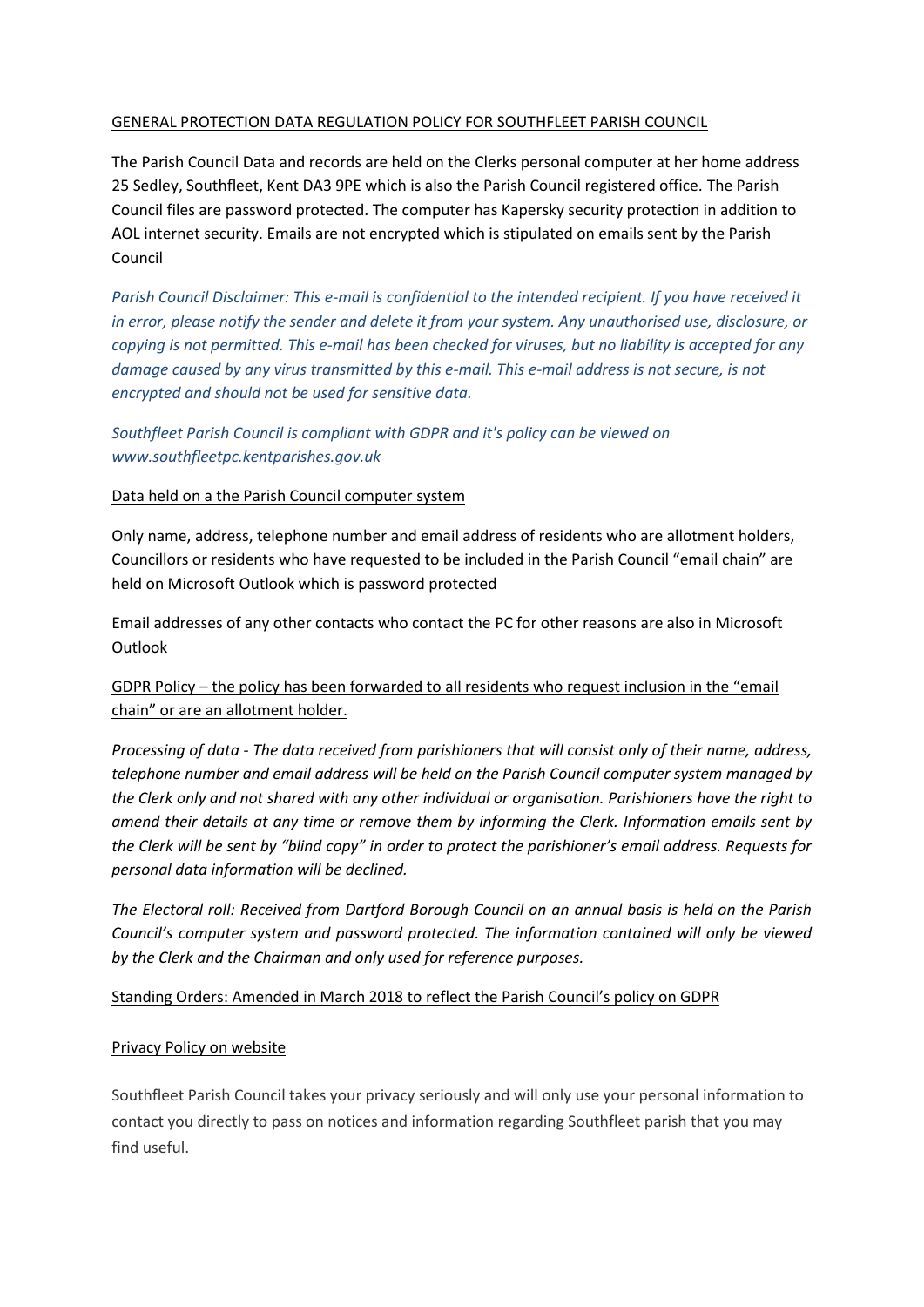### GENERAL PROTECTION DATA REGULATION POLICY FOR SOUTHFLEET PARISH COUNCIL

The Parish Council Data and records are held on the Clerks personal computer at her home address 25 Sedley, Southfleet, Kent DA3 9PE which is also the Parish Council registered office. The Parish Council files are password protected. The computer has Kapersky security protection in addition to AOL internet security. Emails are not encrypted which is stipulated on emails sent by the Parish Council

*Parish Council Disclaimer: This e-mail is confidential to the intended recipient. If you have received it in error, please notify the sender and delete it from your system. Any unauthorised use, disclosure, or copying is not permitted. This e-mail has been checked for viruses, but no liability is accepted for any damage caused by any virus transmitted by this e-mail. This e-mail address is not secure, is not encrypted and should not be used for sensitive data.* 

*Southfleet Parish Council is compliant with GDPR and it's policy can be viewed on www.southfleetpc.kentparishes.gov.uk*

### Data held on a the Parish Council computer system

Only name, address, telephone number and email address of residents who are allotment holders, Councillors or residents who have requested to be included in the Parish Council "email chain" are held on Microsoft Outlook which is password protected

Email addresses of any other contacts who contact the PC for other reasons are also in Microsoft **Outlook** 

# GDPR Policy – the policy has been forwarded to all residents who request inclusion in the "email chain" or are an allotment holder.

*Processing of data - The data received from parishioners that will consist only of their name, address, telephone number and email address will be held on the Parish Council computer system managed by the Clerk only and not shared with any other individual or organisation. Parishioners have the right to amend their details at any time or remove them by informing the Clerk. Information emails sent by the Clerk will be sent by "blind copy" in order to protect the parishioner's email address. Requests for personal data information will be declined.*

*The Electoral roll: Received from Dartford Borough Council on an annual basis is held on the Parish Council's computer system and password protected. The information contained will only be viewed by the Clerk and the Chairman and only used for reference purposes.*

## Standing Orders: Amended in March 2018 to reflect the Parish Council's policy on GDPR

#### Privacy Policy on website

Southfleet Parish Council takes your privacy seriously and will only use your personal information to contact you directly to pass on notices and information regarding Southfleet parish that you may find useful.